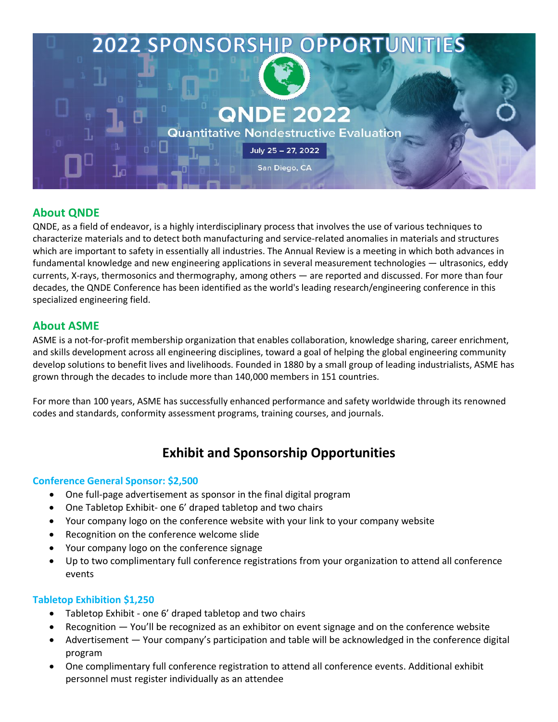

# **About QNDE**

QNDE, as a field of endeavor, is a highly interdisciplinary process that involves the use of various techniques to characterize materials and to detect both manufacturing and service-related anomalies in materials and structures which are important to safety in essentially all industries. The Annual Review is a meeting in which both advances in fundamental knowledge and new engineering applications in several measurement technologies — ultrasonics, eddy currents, X-rays, thermosonics and thermography, among others — are reported and discussed. For more than four decades, the QNDE Conference has been identified as the world's leading research/engineering conference in this specialized engineering field.

## **About ASME**

ASME is a not-for-profit membership organization that enables collaboration, knowledge sharing, career enrichment, and skills development across all engineering disciplines, toward a goal of helping the global engineering community develop solutions to benefit lives and livelihoods. Founded in 1880 by a small group of leading industrialists, ASME has grown through the decades to include more than 140,000 members in 151 countries.

For more than 100 years, ASME has successfully enhanced performance and safety worldwide through its renowned codes and standards, conformity assessment programs, training courses, and journals.

# **Exhibit and Sponsorship Opportunities**

## **Conference General Sponsor: \$2,500**

- One full-page advertisement as sponsor in the final digital program
- One Tabletop Exhibit- one 6' draped tabletop and two chairs
- Your company logo on the conference website with your link to your company website
- Recognition on the conference welcome slide
- Your company logo on the conference signage
- Up to two complimentary full conference registrations from your organization to attend all conference events

## **Tabletop Exhibition \$1,250**

- Tabletop Exhibit one 6' draped tabletop and two chairs
- Recognition You'll be recognized as an exhibitor on event signage and on the conference website
- Advertisement Your company's participation and table will be acknowledged in the conference digital program
- One complimentary full conference registration to attend all conference events. Additional exhibit personnel must register individually as an attendee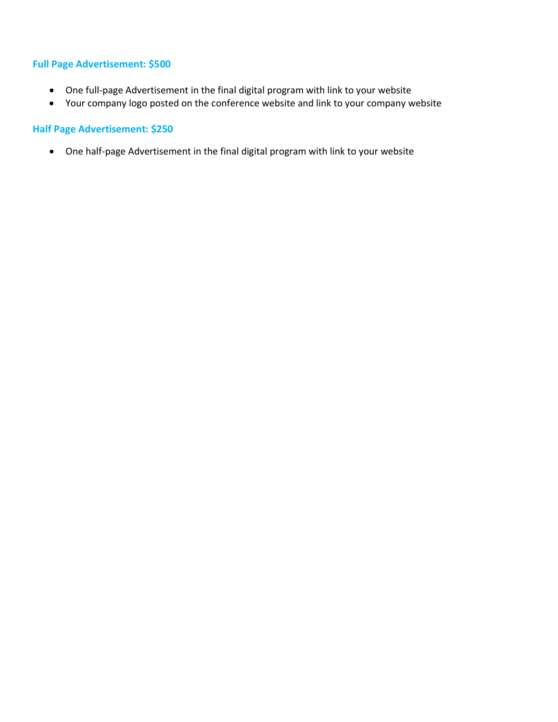## **Full Page Advertisement: \$500**

- One full-page Advertisement in the final digital program with link to your website
- Your company logo posted on the conference website and link to your company website

## **Half Page Advertisement: \$250**

• One half-page Advertisement in the final digital program with link to your website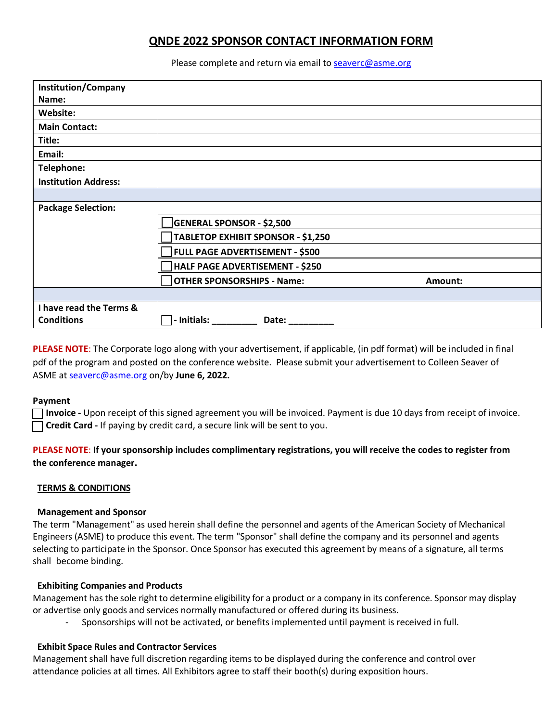# **QNDE 2022 SPONSOR CONTACT INFORMATION FORM**

Please complete and return via email to seaverc@asme.org

| <b>Institution/Company</b>  |                                           |         |
|-----------------------------|-------------------------------------------|---------|
| Name:                       |                                           |         |
| Website:                    |                                           |         |
| <b>Main Contact:</b>        |                                           |         |
| Title:                      |                                           |         |
| Email:                      |                                           |         |
| Telephone:                  |                                           |         |
| <b>Institution Address:</b> |                                           |         |
|                             |                                           |         |
| <b>Package Selection:</b>   |                                           |         |
|                             | <b>GENERAL SPONSOR - \$2,500</b>          |         |
|                             | <b>TABLETOP EXHIBIT SPONSOR - \$1,250</b> |         |
|                             | <b>FULL PAGE ADVERTISEMENT - \$500</b>    |         |
|                             | HALF PAGE ADVERTISEMENT - \$250           |         |
|                             | <b>OTHER SPONSORSHIPS - Name:</b>         | Amount: |
|                             |                                           |         |
| I have read the Terms &     |                                           |         |
| <b>Conditions</b>           | - Initials:<br>Date:                      |         |

**PLEASE NOTE**: The Corporate logo along with your advertisement, if applicable, (in pdf format) will be included in final pdf of the program and posted on the conference website. Please submit your advertisement to Colleen Seaver of ASME at seaverc@asme.org on/by **June 6, 2022.**

#### **Payment**

**[ ] Invoice -** Upon receipt of this signed agreement you will be invoiced. Payment is due 10 days from receipt of invoice. **[ ] Credit Card -** If paying by credit card, a secure link will be sent to you.

## **PLEASE NOTE**: **If your sponsorship includes complimentary registrations, you will receive the codes to register from the conference manager.**

### **TERMS & CONDITIONS**

#### **Management and Sponsor**

The term "Management" as used herein shall define the personnel and agents of the American Society of Mechanical Engineers (ASME) to produce this event. The term "Sponsor" shall define the company and its personnel and agents selecting to participate in the Sponsor. Once Sponsor has executed this agreement by means of a signature, all terms shall become binding.

### **Exhibiting Companies and Products**

Management hasthe sole right to determine eligibility for a product or a company in its conference. Sponsor may display or advertise only goods and services normally manufactured or offered during its business.

- Sponsorships will not be activated, or benefits implemented until payment is received in full.

### **Exhibit Space Rules and Contractor Services**

Management shall have full discretion regarding items to be displayed during the conference and control over attendance policies at all times. All Exhibitors agree to staff their booth(s) during exposition hours.